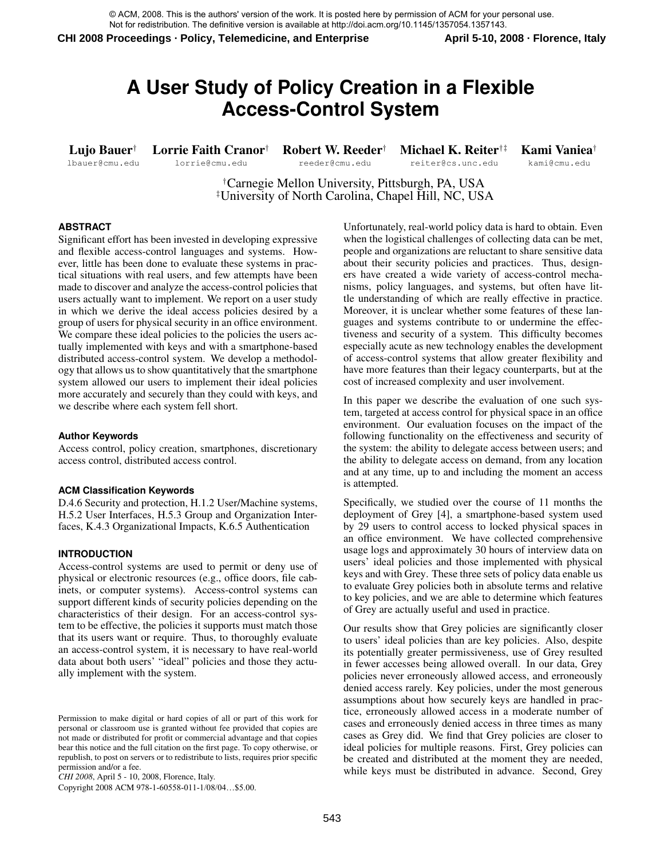© ACM, 2008. This is the authors' version of the work. It is posted here by permission of ACM for your personal use. Not for redistribution. The definitive version is available at http://doi.acm.org/10.1145/1357054.1357143.

**CHI 2008 Proceedings · Policy, Telemedicine, and Enterprise April 5-10, 2008 · Florence, Italy**

# **A User Study of Policy Creation in a Flexible Access-Control System**

Lujo Bauer† Lorrie Faith Cranor† Robert W. Reeder† Michael K. Reiter†‡ Kami Vaniea†

lbauer@cmu.edu lorrie@cmu.edu reeder@cmu.edu reiter@cs.unc.edu kami@cmu.edu

†Carnegie Mellon University, Pittsburgh, PA, USA ‡University of North Carolina, Chapel Hill, NC, USA

### **ABSTRACT**

Significant effort has been invested in developing expressive and flexible access-control languages and systems. However, little has been done to evaluate these systems in practical situations with real users, and few attempts have been made to discover and analyze the access-control policies that users actually want to implement. We report on a user study in which we derive the ideal access policies desired by a group of users for physical security in an office environment. We compare these ideal policies to the policies the users actually implemented with keys and with a smartphone-based distributed access-control system. We develop a methodology that allows us to show quantitatively that the smartphone system allowed our users to implement their ideal policies more accurately and securely than they could with keys, and we describe where each system fell short.

#### **Author Keywords**

Access control, policy creation, smartphones, discretionary access control, distributed access control.

#### **ACM Classification Keywords**

D.4.6 Security and protection, H.1.2 User/Machine systems, H.5.2 User Interfaces, H.5.3 Group and Organization Interfaces, K.4.3 Organizational Impacts, K.6.5 Authentication

#### **INTRODUCTION**

Access-control systems are used to permit or deny use of physical or electronic resources (e.g., office doors, file cabinets, or computer systems). Access-control systems can support different kinds of security policies depending on the characteristics of their design. For an access-control system to be effective, the policies it supports must match those that its users want or require. Thus, to thoroughly evaluate an access-control system, it is necessary to have real-world data about both users' "ideal" policies and those they actually implement with the system.

*CHI 2008*, April 5 - 10, 2008, Florence, Italy.

Copyright 2008 ACM 978-1-60558-011-1/08/04…\$5.00.

Unfortunately, real-world policy data is hard to obtain. Even when the logistical challenges of collecting data can be met, people and organizations are reluctant to share sensitive data about their security policies and practices. Thus, designers have created a wide variety of access-control mechanisms, policy languages, and systems, but often have little understanding of which are really effective in practice. Moreover, it is unclear whether some features of these languages and systems contribute to or undermine the effectiveness and security of a system. This difficulty becomes especially acute as new technology enables the development of access-control systems that allow greater flexibility and have more features than their legacy counterparts, but at the cost of increased complexity and user involvement.

In this paper we describe the evaluation of one such system, targeted at access control for physical space in an office environment. Our evaluation focuses on the impact of the following functionality on the effectiveness and security of the system: the ability to delegate access between users; and the ability to delegate access on demand, from any location and at any time, up to and including the moment an access is attempted.

Specifically, we studied over the course of 11 months the deployment of Grey [4], a smartphone-based system used by 29 users to control access to locked physical spaces in an office environment. We have collected comprehensive usage logs and approximately 30 hours of interview data on users' ideal policies and those implemented with physical keys and with Grey. These three sets of policy data enable us to evaluate Grey policies both in absolute terms and relative to key policies, and we are able to determine which features of Grey are actually useful and used in practice.

Our results show that Grey policies are significantly closer to users' ideal policies than are key policies. Also, despite its potentially greater permissiveness, use of Grey resulted in fewer accesses being allowed overall. In our data, Grey policies never erroneously allowed access, and erroneously denied access rarely. Key policies, under the most generous assumptions about how securely keys are handled in practice, erroneously allowed access in a moderate number of cases and erroneously denied access in three times as many cases as Grey did. We find that Grey policies are closer to ideal policies for multiple reasons. First, Grey policies can be created and distributed at the moment they are needed, while keys must be distributed in advance. Second, Grey

Permission to make digital or hard copies of all or part of this work for personal or classroom use is granted without fee provided that copies are not made or distributed for profit or commercial advantage and that copies bear this notice and the full citation on the first page. To copy otherwise, or republish, to post on servers or to redistribute to lists, requires prior specific permission and/or a fee.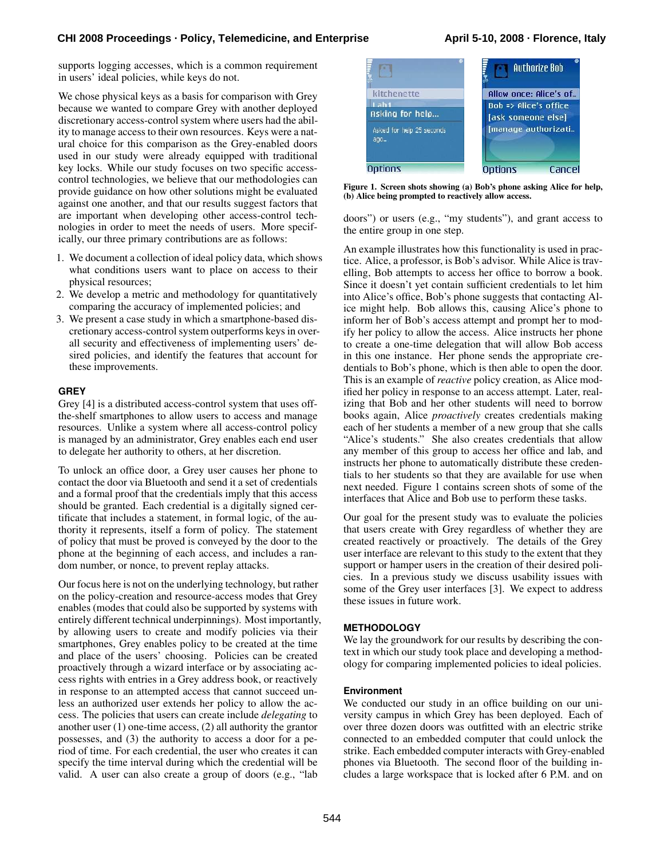supports logging accesses, which is a common requirement in users' ideal policies, while keys do not.

We chose physical keys as a basis for comparison with Grey because we wanted to compare Grey with another deployed discretionary access-control system where users had the ability to manage access to their own resources. Keys were a natural choice for this comparison as the Grey-enabled doors used in our study were already equipped with traditional key locks. While our study focuses on two specific accesscontrol technologies, we believe that our methodologies can provide guidance on how other solutions might be evaluated against one another, and that our results suggest factors that are important when developing other access-control technologies in order to meet the needs of users. More specifically, our three primary contributions are as follows:

- 1. We document a collection of ideal policy data, which shows what conditions users want to place on access to their physical resources;
- 2. We develop a metric and methodology for quantitatively comparing the accuracy of implemented policies; and
- 3. We present a case study in which a smartphone-based discretionary access-control system outperforms keys in overall security and effectiveness of implementing users' desired policies, and identify the features that account for these improvements.

#### **GREY**

Grey [4] is a distributed access-control system that uses offthe-shelf smartphones to allow users to access and manage resources. Unlike a system where all access-control policy is managed by an administrator, Grey enables each end user to delegate her authority to others, at her discretion.

To unlock an office door, a Grey user causes her phone to contact the door via Bluetooth and send it a set of credentials and a formal proof that the credentials imply that this access should be granted. Each credential is a digitally signed certificate that includes a statement, in formal logic, of the authority it represents, itself a form of policy. The statement of policy that must be proved is conveyed by the door to the phone at the beginning of each access, and includes a random number, or nonce, to prevent replay attacks.

Our focus here is not on the underlying technology, but rather on the policy-creation and resource-access modes that Grey enables (modes that could also be supported by systems with entirely different technical underpinnings). Most importantly, by allowing users to create and modify policies via their smartphones, Grey enables policy to be created at the time and place of the users' choosing. Policies can be created proactively through a wizard interface or by associating access rights with entries in a Grey address book, or reactively in response to an attempted access that cannot succeed unless an authorized user extends her policy to allow the access. The policies that users can create include *delegating* to another user (1) one-time access, (2) all authority the grantor possesses, and (3) the authority to access a door for a period of time. For each credential, the user who creates it can specify the time interval during which the credential will be valid. A user can also create a group of doors (e.g., "lab



Figure 1. Screen shots showing (a) Bob's phone asking Alice for help, (b) Alice being prompted to reactively allow access.

doors") or users (e.g., "my students"), and grant access to the entire group in one step.

An example illustrates how this functionality is used in practice. Alice, a professor, is Bob's advisor. While Alice is travelling, Bob attempts to access her office to borrow a book. Since it doesn't yet contain sufficient credentials to let him into Alice's office, Bob's phone suggests that contacting Alice might help. Bob allows this, causing Alice's phone to inform her of Bob's access attempt and prompt her to modify her policy to allow the access. Alice instructs her phone to create a one-time delegation that will allow Bob access in this one instance. Her phone sends the appropriate credentials to Bob's phone, which is then able to open the door. This is an example of *reactive* policy creation, as Alice modified her policy in response to an access attempt. Later, realizing that Bob and her other students will need to borrow books again, Alice *proactively* creates credentials making each of her students a member of a new group that she calls "Alice's students." She also creates credentials that allow any member of this group to access her office and lab, and instructs her phone to automatically distribute these credentials to her students so that they are available for use when next needed. Figure 1 contains screen shots of some of the interfaces that Alice and Bob use to perform these tasks.

Our goal for the present study was to evaluate the policies that users create with Grey regardless of whether they are created reactively or proactively. The details of the Grey user interface are relevant to this study to the extent that they support or hamper users in the creation of their desired policies. In a previous study we discuss usability issues with some of the Grey user interfaces [3]. We expect to address these issues in future work.

### **METHODOLOGY**

We lay the groundwork for our results by describing the context in which our study took place and developing a methodology for comparing implemented policies to ideal policies.

#### **Environment**

We conducted our study in an office building on our university campus in which Grey has been deployed. Each of over three dozen doors was outfitted with an electric strike connected to an embedded computer that could unlock the strike. Each embedded computer interacts with Grey-enabled phones via Bluetooth. The second floor of the building includes a large workspace that is locked after 6 P.M. and on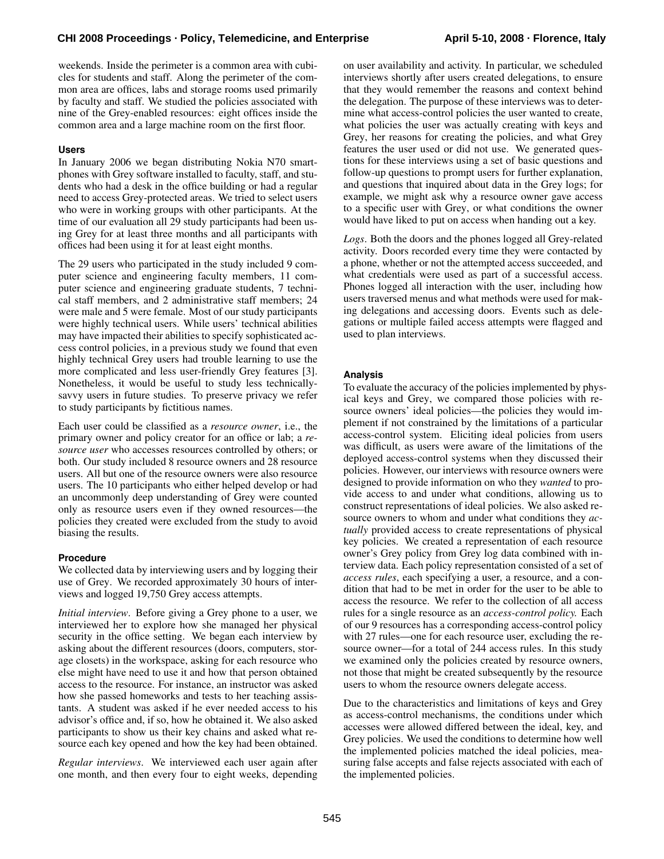weekends. Inside the perimeter is a common area with cubicles for students and staff. Along the perimeter of the common area are offices, labs and storage rooms used primarily by faculty and staff. We studied the policies associated with nine of the Grey-enabled resources: eight offices inside the common area and a large machine room on the first floor.

# **Users**

In January 2006 we began distributing Nokia N70 smartphones with Grey software installed to faculty, staff, and students who had a desk in the office building or had a regular need to access Grey-protected areas. We tried to select users who were in working groups with other participants. At the time of our evaluation all 29 study participants had been using Grey for at least three months and all participants with offices had been using it for at least eight months.

The 29 users who participated in the study included 9 computer science and engineering faculty members, 11 computer science and engineering graduate students, 7 technical staff members, and 2 administrative staff members; 24 were male and 5 were female. Most of our study participants were highly technical users. While users' technical abilities may have impacted their abilities to specify sophisticated access control policies, in a previous study we found that even highly technical Grey users had trouble learning to use the more complicated and less user-friendly Grey features [3]. Nonetheless, it would be useful to study less technicallysavvy users in future studies. To preserve privacy we refer to study participants by fictitious names.

Each user could be classified as a *resource owner*, i.e., the primary owner and policy creator for an office or lab; a *resource user* who accesses resources controlled by others; or both. Our study included 8 resource owners and 28 resource users. All but one of the resource owners were also resource users. The 10 participants who either helped develop or had an uncommonly deep understanding of Grey were counted only as resource users even if they owned resources—the policies they created were excluded from the study to avoid biasing the results.

# **Procedure**

We collected data by interviewing users and by logging their use of Grey. We recorded approximately 30 hours of interviews and logged 19,750 Grey access attempts.

*Initial interview*. Before giving a Grey phone to a user, we interviewed her to explore how she managed her physical security in the office setting. We began each interview by asking about the different resources (doors, computers, storage closets) in the workspace, asking for each resource who else might have need to use it and how that person obtained access to the resource. For instance, an instructor was asked how she passed homeworks and tests to her teaching assistants. A student was asked if he ever needed access to his advisor's office and, if so, how he obtained it. We also asked participants to show us their key chains and asked what resource each key opened and how the key had been obtained.

*Regular interviews*. We interviewed each user again after one month, and then every four to eight weeks, depending on user availability and activity. In particular, we scheduled interviews shortly after users created delegations, to ensure that they would remember the reasons and context behind the delegation. The purpose of these interviews was to determine what access-control policies the user wanted to create, what policies the user was actually creating with keys and Grey, her reasons for creating the policies, and what Grey features the user used or did not use. We generated questions for these interviews using a set of basic questions and follow-up questions to prompt users for further explanation, and questions that inquired about data in the Grey logs; for example, we might ask why a resource owner gave access to a specific user with Grey, or what conditions the owner would have liked to put on access when handing out a key.

*Logs*. Both the doors and the phones logged all Grey-related activity. Doors recorded every time they were contacted by a phone, whether or not the attempted access succeeded, and what credentials were used as part of a successful access. Phones logged all interaction with the user, including how users traversed menus and what methods were used for making delegations and accessing doors. Events such as delegations or multiple failed access attempts were flagged and used to plan interviews.

## **Analysis**

To evaluate the accuracy of the policies implemented by physical keys and Grey, we compared those policies with resource owners' ideal policies—the policies they would implement if not constrained by the limitations of a particular access-control system. Eliciting ideal policies from users was difficult, as users were aware of the limitations of the deployed access-control systems when they discussed their policies. However, our interviews with resource owners were designed to provide information on who they *wanted* to provide access to and under what conditions, allowing us to construct representations of ideal policies. We also asked resource owners to whom and under what conditions they *actually* provided access to create representations of physical key policies. We created a representation of each resource owner's Grey policy from Grey log data combined with interview data. Each policy representation consisted of a set of *access rules*, each specifying a user, a resource, and a condition that had to be met in order for the user to be able to access the resource. We refer to the collection of all access rules for a single resource as an *access-control policy.* Each of our 9 resources has a corresponding access-control policy with 27 rules—one for each resource user, excluding the resource owner—for a total of 244 access rules. In this study we examined only the policies created by resource owners, not those that might be created subsequently by the resource users to whom the resource owners delegate access.

Due to the characteristics and limitations of keys and Grey as access-control mechanisms, the conditions under which accesses were allowed differed between the ideal, key, and Grey policies. We used the conditions to determine how well the implemented policies matched the ideal policies, measuring false accepts and false rejects associated with each of the implemented policies.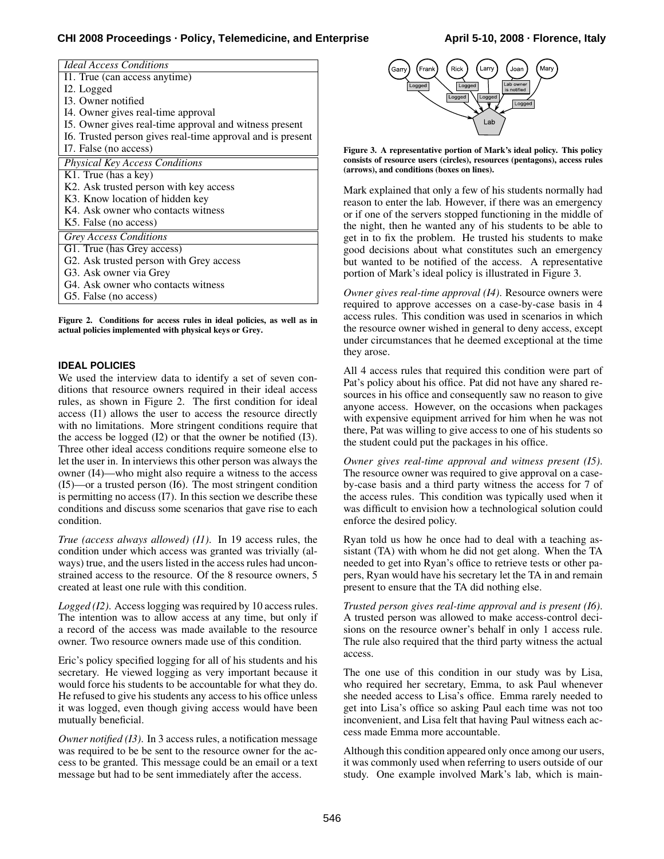| Ideal Access Conditions                                    |
|------------------------------------------------------------|
| I1. True (can access anytime)                              |
| I <sub>2</sub> . Logged                                    |
| I3. Owner notified                                         |
| I4. Owner gives real-time approval                         |
| I5. Owner gives real-time approval and witness present     |
| I6. Trusted person gives real-time approval and is present |
| I7. False (no access)                                      |
| <b>Physical Key Access Conditions</b>                      |
| K1. True (has a key)                                       |
| K2. Ask trusted person with key access                     |
| K3. Know location of hidden key                            |
| K4. Ask owner who contacts witness                         |
| K5. False (no access)                                      |
| <b>Grey Access Conditions</b>                              |
| G1. True (has Grey access)                                 |
| G2. Ask trusted person with Grey access                    |
| G3. Ask owner via Grey                                     |
| G4. Ask owner who contacts witness                         |
| G5. False (no access)                                      |
|                                                            |

Figure 2. Conditions for access rules in ideal policies, as well as in actual policies implemented with physical keys or Grey.

## **IDEAL POLICIES**

We used the interview data to identify a set of seven conditions that resource owners required in their ideal access rules, as shown in Figure 2. The first condition for ideal access (I1) allows the user to access the resource directly with no limitations. More stringent conditions require that the access be logged (I2) or that the owner be notified (I3). Three other ideal access conditions require someone else to let the user in. In interviews this other person was always the owner (I4)—who might also require a witness to the access (I5)—or a trusted person (I6). The most stringent condition is permitting no access (I7). In this section we describe these conditions and discuss some scenarios that gave rise to each condition.

*True (access always allowed) (I1)*. In 19 access rules, the condition under which access was granted was trivially (always) true, and the users listed in the access rules had unconstrained access to the resource. Of the 8 resource owners, 5 created at least one rule with this condition.

*Logged (I2)*. Access logging was required by 10 access rules. The intention was to allow access at any time, but only if a record of the access was made available to the resource owner. Two resource owners made use of this condition.

Eric's policy specified logging for all of his students and his secretary. He viewed logging as very important because it would force his students to be accountable for what they do. He refused to give his students any access to his office unless it was logged, even though giving access would have been mutually beneficial.

*Owner notified (I3)*. In 3 access rules, a notification message was required to be be sent to the resource owner for the access to be granted. This message could be an email or a text message but had to be sent immediately after the access.



Figure 3. A representative portion of Mark's ideal policy. This policy consists of resource users (circles), resources (pentagons), access rules (arrows), and conditions (boxes on lines).

Mark explained that only a few of his students normally had reason to enter the lab. However, if there was an emergency or if one of the servers stopped functioning in the middle of the night, then he wanted any of his students to be able to get in to fix the problem. He trusted his students to make good decisions about what constitutes such an emergency but wanted to be notified of the access. A representative portion of Mark's ideal policy is illustrated in Figure 3.

*Owner gives real-time approval (I4)*. Resource owners were required to approve accesses on a case-by-case basis in 4 access rules. This condition was used in scenarios in which the resource owner wished in general to deny access, except under circumstances that he deemed exceptional at the time they arose.

All 4 access rules that required this condition were part of Pat's policy about his office. Pat did not have any shared resources in his office and consequently saw no reason to give anyone access. However, on the occasions when packages with expensive equipment arrived for him when he was not there, Pat was willing to give access to one of his students so the student could put the packages in his office.

*Owner gives real-time approval and witness present (I5)*. The resource owner was required to give approval on a caseby-case basis and a third party witness the access for 7 of the access rules. This condition was typically used when it was difficult to envision how a technological solution could enforce the desired policy.

Ryan told us how he once had to deal with a teaching assistant (TA) with whom he did not get along. When the TA needed to get into Ryan's office to retrieve tests or other papers, Ryan would have his secretary let the TA in and remain present to ensure that the TA did nothing else.

*Trusted person gives real-time approval and is present (I6)*. A trusted person was allowed to make access-control decisions on the resource owner's behalf in only 1 access rule. The rule also required that the third party witness the actual access.

The one use of this condition in our study was by Lisa, who required her secretary, Emma, to ask Paul whenever she needed access to Lisa's office. Emma rarely needed to get into Lisa's office so asking Paul each time was not too inconvenient, and Lisa felt that having Paul witness each access made Emma more accountable.

Although this condition appeared only once among our users, it was commonly used when referring to users outside of our study. One example involved Mark's lab, which is main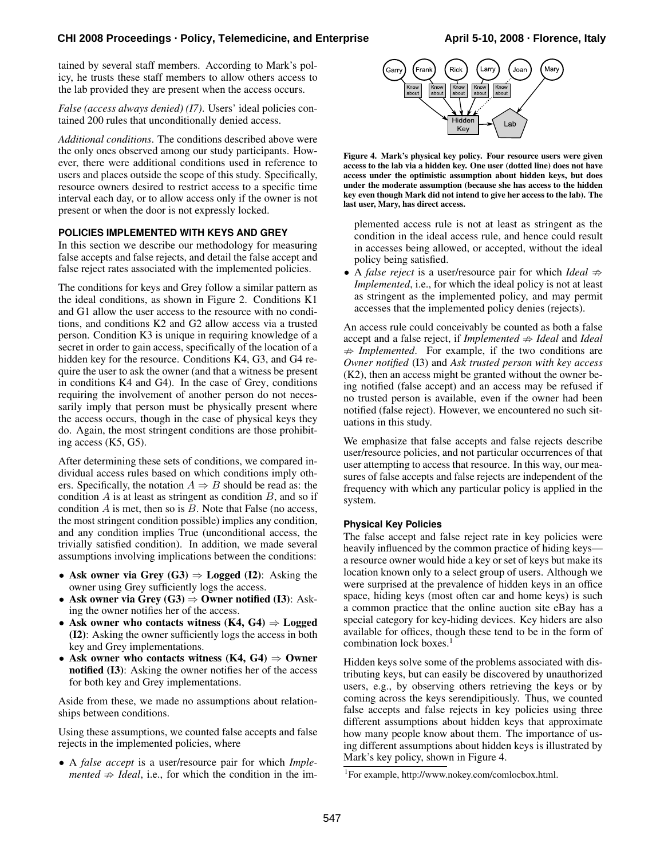tained by several staff members. According to Mark's policy, he trusts these staff members to allow others access to the lab provided they are present when the access occurs.

*False (access always denied) (I7)*. Users' ideal policies contained 200 rules that unconditionally denied access.

*Additional conditions*. The conditions described above were the only ones observed among our study participants. However, there were additional conditions used in reference to users and places outside the scope of this study. Specifically, resource owners desired to restrict access to a specific time interval each day, or to allow access only if the owner is not present or when the door is not expressly locked.

## **POLICIES IMPLEMENTED WITH KEYS AND GREY**

In this section we describe our methodology for measuring false accepts and false rejects, and detail the false accept and false reject rates associated with the implemented policies.

The conditions for keys and Grey follow a similar pattern as the ideal conditions, as shown in Figure 2. Conditions K1 and G1 allow the user access to the resource with no conditions, and conditions K2 and G2 allow access via a trusted person. Condition K3 is unique in requiring knowledge of a secret in order to gain access, specifically of the location of a hidden key for the resource. Conditions K4, G3, and G4 require the user to ask the owner (and that a witness be present in conditions K4 and G4). In the case of Grey, conditions requiring the involvement of another person do not necessarily imply that person must be physically present where the access occurs, though in the case of physical keys they do. Again, the most stringent conditions are those prohibiting access (K5, G5).

After determining these sets of conditions, we compared individual access rules based on which conditions imply others. Specifically, the notation  $A \Rightarrow B$  should be read as: the condition  $A$  is at least as stringent as condition  $B$ , and so if condition  $A$  is met, then so is  $B$ . Note that False (no access, the most stringent condition possible) implies any condition, and any condition implies True (unconditional access, the trivially satisfied condition). In addition, we made several assumptions involving implications between the conditions:

- Ask owner via Grey (G3)  $\Rightarrow$  Logged (I2): Asking the owner using Grey sufficiently logs the access.
- Ask owner via Grey  $(G3) \Rightarrow$  Owner notified (I3): Asking the owner notifies her of the access.
- Ask owner who contacts witness  $(K4, G4) \Rightarrow$  Logged (I2): Asking the owner sufficiently logs the access in both key and Grey implementations.
- Ask owner who contacts witness  $(K4, G4) \Rightarrow$  Owner notified (I3): Asking the owner notifies her of the access for both key and Grey implementations.

Aside from these, we made no assumptions about relationships between conditions.

Using these assumptions, we counted false accepts and false rejects in the implemented policies, where

• A *false accept* is a user/resource pair for which *Implemented*  $\Rightarrow$  *Ideal*, i.e., for which the condition in the im-



Figure 4. Mark's physical key policy. Four resource users were given access to the lab via a hidden key. One user (dotted line) does not have access under the optimistic assumption about hidden keys, but does under the moderate assumption (because she has access to the hidden key even though Mark did not intend to give her access to the lab). The last user, Mary, has direct access.

plemented access rule is not at least as stringent as the condition in the ideal access rule, and hence could result in accesses being allowed, or accepted, without the ideal policy being satisfied.

• A *false reject* is a user/resource pair for which *Ideal*  $\Rightarrow$ *Implemented*, i.e., for which the ideal policy is not at least as stringent as the implemented policy, and may permit accesses that the implemented policy denies (rejects).

An access rule could conceivably be counted as both a false accept and a false reject, if *Implemented*  $\Rightarrow$  *Ideal* and *Ideal*  $\Rightarrow$  *Implemented*. For example, if the two conditions are *Owner notified* (I3) and *Ask trusted person with key access* (K2), then an access might be granted without the owner being notified (false accept) and an access may be refused if no trusted person is available, even if the owner had been notified (false reject). However, we encountered no such situations in this study.

We emphasize that false accepts and false rejects describe user/resource policies, and not particular occurrences of that user attempting to access that resource. In this way, our measures of false accepts and false rejects are independent of the frequency with which any particular policy is applied in the system.

#### **Physical Key Policies**

The false accept and false reject rate in key policies were heavily influenced by the common practice of hiding keys a resource owner would hide a key or set of keys but make its location known only to a select group of users. Although we were surprised at the prevalence of hidden keys in an office space, hiding keys (most often car and home keys) is such a common practice that the online auction site eBay has a special category for key-hiding devices. Key hiders are also available for offices, though these tend to be in the form of combination lock boxes.<sup>1</sup>

Hidden keys solve some of the problems associated with distributing keys, but can easily be discovered by unauthorized users, e.g., by observing others retrieving the keys or by coming across the keys serendipitiously. Thus, we counted false accepts and false rejects in key policies using three different assumptions about hidden keys that approximate how many people know about them. The importance of using different assumptions about hidden keys is illustrated by Mark's key policy, shown in Figure 4.

<sup>1</sup> For example, http://www.nokey.com/comlocbox.html.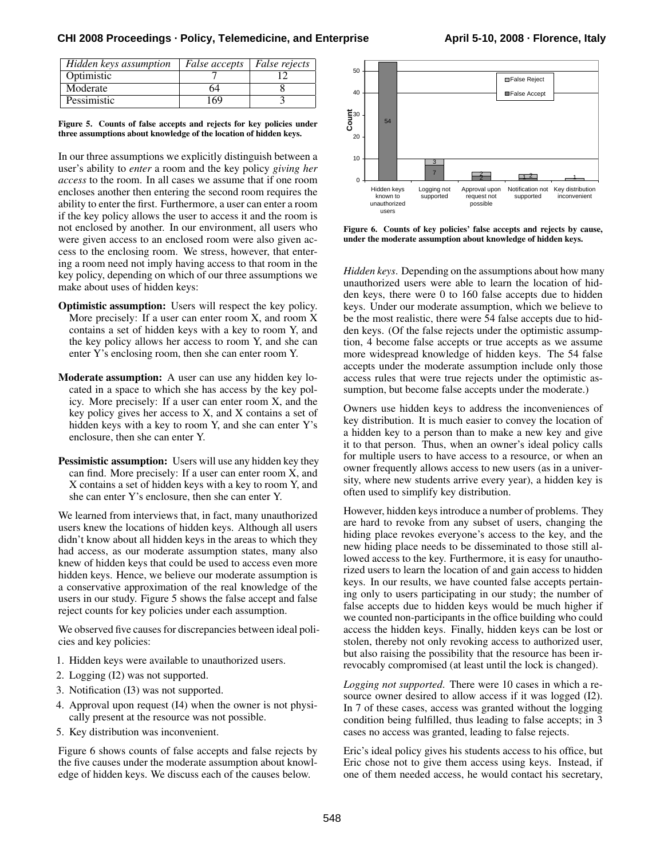| Hidden keys assumption | False accepts | <i>False rejects</i> |
|------------------------|---------------|----------------------|
| Optimistic             |               |                      |
| Moderate               | 64            |                      |
| Pessimistic            | 169           |                      |

Figure 5. Counts of false accepts and rejects for key policies under three assumptions about knowledge of the location of hidden keys.

In our three assumptions we explicitly distinguish between a user's ability to *enter* a room and the key policy *giving her access* to the room. In all cases we assume that if one room encloses another then entering the second room requires the ability to enter the first. Furthermore, a user can enter a room if the key policy allows the user to access it and the room is not enclosed by another. In our environment, all users who were given access to an enclosed room were also given access to the enclosing room. We stress, however, that entering a room need not imply having access to that room in the key policy, depending on which of our three assumptions we make about uses of hidden keys:

- Optimistic assumption: Users will respect the key policy. More precisely: If a user can enter room X, and room X contains a set of hidden keys with a key to room Y, and the key policy allows her access to room Y, and she can enter Y's enclosing room, then she can enter room Y.
- Moderate assumption: A user can use any hidden key located in a space to which she has access by the key policy. More precisely: If a user can enter room X, and the key policy gives her access to X, and X contains a set of hidden keys with a key to room Y, and she can enter Y's enclosure, then she can enter Y.
- Pessimistic assumption: Users will use any hidden key they can find. More precisely: If a user can enter room X, and X contains a set of hidden keys with a key to room Y, and she can enter Y's enclosure, then she can enter Y.

We learned from interviews that, in fact, many unauthorized users knew the locations of hidden keys. Although all users didn't know about all hidden keys in the areas to which they had access, as our moderate assumption states, many also knew of hidden keys that could be used to access even more hidden keys. Hence, we believe our moderate assumption is a conservative approximation of the real knowledge of the users in our study. Figure 5 shows the false accept and false reject counts for key policies under each assumption.

We observed five causes for discrepancies between ideal policies and key policies:

- 1. Hidden keys were available to unauthorized users.
- 2. Logging (I2) was not supported.
- 3. Notification (I3) was not supported.
- 4. Approval upon request (I4) when the owner is not physically present at the resource was not possible.
- 5. Key distribution was inconvenient.

Figure 6 shows counts of false accepts and false rejects by the five causes under the moderate assumption about knowledge of hidden keys. We discuss each of the causes below.



Figure 6. Counts of key policies' false accepts and rejects by cause, under the moderate assumption about knowledge of hidden keys.

*Hidden keys*. Depending on the assumptions about how many unauthorized users were able to learn the location of hidden keys, there were 0 to 160 false accepts due to hidden keys. Under our moderate assumption, which we believe to be the most realistic, there were 54 false accepts due to hidden keys. (Of the false rejects under the optimistic assumption, 4 become false accepts or true accepts as we assume more widespread knowledge of hidden keys. The 54 false accepts under the moderate assumption include only those access rules that were true rejects under the optimistic assumption, but become false accepts under the moderate.)

Owners use hidden keys to address the inconveniences of key distribution. It is much easier to convey the location of a hidden key to a person than to make a new key and give it to that person. Thus, when an owner's ideal policy calls for multiple users to have access to a resource, or when an owner frequently allows access to new users (as in a university, where new students arrive every year), a hidden key is often used to simplify key distribution.

However, hidden keys introduce a number of problems. They are hard to revoke from any subset of users, changing the hiding place revokes everyone's access to the key, and the new hiding place needs to be disseminated to those still allowed access to the key. Furthermore, it is easy for unauthorized users to learn the location of and gain access to hidden keys. In our results, we have counted false accepts pertaining only to users participating in our study; the number of false accepts due to hidden keys would be much higher if we counted non-participants in the office building who could access the hidden keys. Finally, hidden keys can be lost or stolen, thereby not only revoking access to authorized user, but also raising the possibility that the resource has been irrevocably compromised (at least until the lock is changed).

*Logging not supported*. There were 10 cases in which a resource owner desired to allow access if it was logged (I2). In 7 of these cases, access was granted without the logging condition being fulfilled, thus leading to false accepts; in 3 cases no access was granted, leading to false rejects.

Eric's ideal policy gives his students access to his office, but Eric chose not to give them access using keys. Instead, if one of them needed access, he would contact his secretary,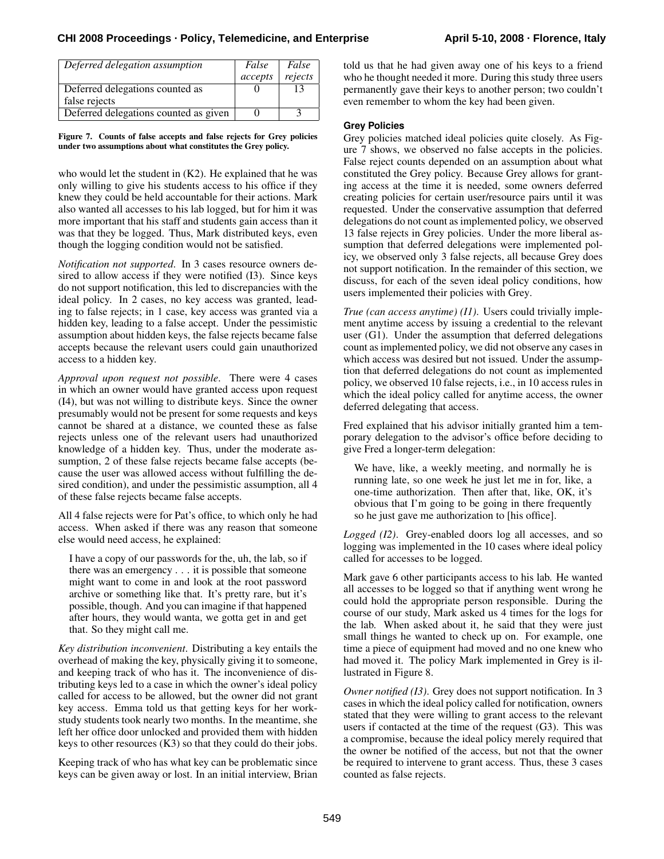| Deferred delegation assumption        | False   | False   |
|---------------------------------------|---------|---------|
|                                       | accepts | rejects |
| Deferred delegations counted as       |         | 13      |
| false rejects                         |         |         |
| Deferred delegations counted as given |         |         |

Figure 7. Counts of false accepts and false rejects for Grey policies under two assumptions about what constitutes the Grey policy.

who would let the student in (K2). He explained that he was only willing to give his students access to his office if they knew they could be held accountable for their actions. Mark also wanted all accesses to his lab logged, but for him it was more important that his staff and students gain access than it was that they be logged. Thus, Mark distributed keys, even though the logging condition would not be satisfied.

*Notification not supported*. In 3 cases resource owners desired to allow access if they were notified (I3). Since keys do not support notification, this led to discrepancies with the ideal policy. In 2 cases, no key access was granted, leading to false rejects; in 1 case, key access was granted via a hidden key, leading to a false accept. Under the pessimistic assumption about hidden keys, the false rejects became false accepts because the relevant users could gain unauthorized access to a hidden key.

*Approval upon request not possible*. There were 4 cases in which an owner would have granted access upon request (I4), but was not willing to distribute keys. Since the owner presumably would not be present for some requests and keys cannot be shared at a distance, we counted these as false rejects unless one of the relevant users had unauthorized knowledge of a hidden key. Thus, under the moderate assumption, 2 of these false rejects became false accepts (because the user was allowed access without fulfilling the desired condition), and under the pessimistic assumption, all 4 of these false rejects became false accepts.

All 4 false rejects were for Pat's office, to which only he had access. When asked if there was any reason that someone else would need access, he explained:

I have a copy of our passwords for the, uh, the lab, so if there was an emergency . . . it is possible that someone might want to come in and look at the root password archive or something like that. It's pretty rare, but it's possible, though. And you can imagine if that happened after hours, they would wanta, we gotta get in and get that. So they might call me.

*Key distribution inconvenient*. Distributing a key entails the overhead of making the key, physically giving it to someone, and keeping track of who has it. The inconvenience of distributing keys led to a case in which the owner's ideal policy called for access to be allowed, but the owner did not grant key access. Emma told us that getting keys for her workstudy students took nearly two months. In the meantime, she left her office door unlocked and provided them with hidden keys to other resources (K3) so that they could do their jobs.

Keeping track of who has what key can be problematic since keys can be given away or lost. In an initial interview, Brian told us that he had given away one of his keys to a friend who he thought needed it more. During this study three users permanently gave their keys to another person; two couldn't even remember to whom the key had been given.

## **Grey Policies**

Grey policies matched ideal policies quite closely. As Figure 7 shows, we observed no false accepts in the policies. False reject counts depended on an assumption about what constituted the Grey policy. Because Grey allows for granting access at the time it is needed, some owners deferred creating policies for certain user/resource pairs until it was requested. Under the conservative assumption that deferred delegations do not count as implemented policy, we observed 13 false rejects in Grey policies. Under the more liberal assumption that deferred delegations were implemented policy, we observed only 3 false rejects, all because Grey does not support notification. In the remainder of this section, we discuss, for each of the seven ideal policy conditions, how users implemented their policies with Grey.

*True (can access anytime) (I1)*. Users could trivially implement anytime access by issuing a credential to the relevant user (G1). Under the assumption that deferred delegations count as implemented policy, we did not observe any cases in which access was desired but not issued. Under the assumption that deferred delegations do not count as implemented policy, we observed 10 false rejects, i.e., in 10 access rules in which the ideal policy called for anytime access, the owner deferred delegating that access.

Fred explained that his advisor initially granted him a temporary delegation to the advisor's office before deciding to give Fred a longer-term delegation:

We have, like, a weekly meeting, and normally he is running late, so one week he just let me in for, like, a one-time authorization. Then after that, like, OK, it's obvious that I'm going to be going in there frequently so he just gave me authorization to [his office].

*Logged (I2)*. Grey-enabled doors log all accesses, and so logging was implemented in the 10 cases where ideal policy called for accesses to be logged.

Mark gave 6 other participants access to his lab. He wanted all accesses to be logged so that if anything went wrong he could hold the appropriate person responsible. During the course of our study, Mark asked us 4 times for the logs for the lab. When asked about it, he said that they were just small things he wanted to check up on. For example, one time a piece of equipment had moved and no one knew who had moved it. The policy Mark implemented in Grey is illustrated in Figure 8.

*Owner notified (I3)*. Grey does not support notification. In 3 cases in which the ideal policy called for notification, owners stated that they were willing to grant access to the relevant users if contacted at the time of the request (G3). This was a compromise, because the ideal policy merely required that the owner be notified of the access, but not that the owner be required to intervene to grant access. Thus, these 3 cases counted as false rejects.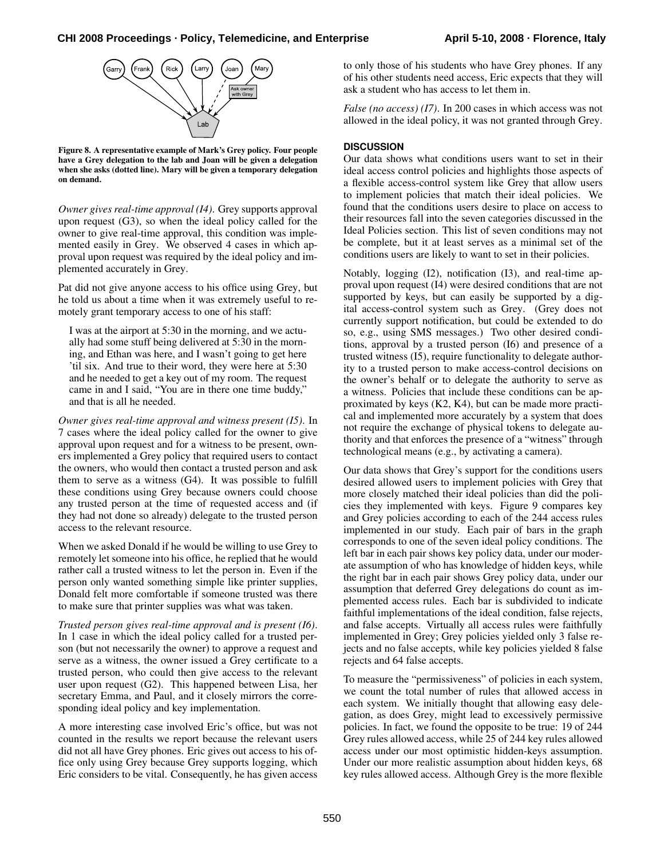

Figure 8. A representative example of Mark's Grey policy. Four people have a Grey delegation to the lab and Joan will be given a delegation when she asks (dotted line). Mary will be given a temporary delegation on demand.

*Owner gives real-time approval (I4)*. Grey supports approval upon request (G3), so when the ideal policy called for the owner to give real-time approval, this condition was implemented easily in Grey. We observed 4 cases in which approval upon request was required by the ideal policy and implemented accurately in Grey.

Pat did not give anyone access to his office using Grey, but he told us about a time when it was extremely useful to remotely grant temporary access to one of his staff:

I was at the airport at 5:30 in the morning, and we actually had some stuff being delivered at 5:30 in the morning, and Ethan was here, and I wasn't going to get here 'til six. And true to their word, they were here at 5:30 and he needed to get a key out of my room. The request came in and I said, "You are in there one time buddy," and that is all he needed.

*Owner gives real-time approval and witness present (I5)*. In 7 cases where the ideal policy called for the owner to give approval upon request and for a witness to be present, owners implemented a Grey policy that required users to contact the owners, who would then contact a trusted person and ask them to serve as a witness (G4). It was possible to fulfill these conditions using Grey because owners could choose any trusted person at the time of requested access and (if they had not done so already) delegate to the trusted person access to the relevant resource.

When we asked Donald if he would be willing to use Grey to remotely let someone into his office, he replied that he would rather call a trusted witness to let the person in. Even if the person only wanted something simple like printer supplies, Donald felt more comfortable if someone trusted was there to make sure that printer supplies was what was taken.

*Trusted person gives real-time approval and is present (I6)*. In 1 case in which the ideal policy called for a trusted person (but not necessarily the owner) to approve a request and serve as a witness, the owner issued a Grey certificate to a trusted person, who could then give access to the relevant user upon request (G2). This happened between Lisa, her secretary Emma, and Paul, and it closely mirrors the corresponding ideal policy and key implementation.

A more interesting case involved Eric's office, but was not counted in the results we report because the relevant users did not all have Grey phones. Eric gives out access to his office only using Grey because Grey supports logging, which Eric considers to be vital. Consequently, he has given access to only those of his students who have Grey phones. If any of his other students need access, Eric expects that they will ask a student who has access to let them in.

*False (no access) (I7)*. In 200 cases in which access was not allowed in the ideal policy, it was not granted through Grey.

# **DISCUSSION**

Our data shows what conditions users want to set in their ideal access control policies and highlights those aspects of a flexible access-control system like Grey that allow users to implement policies that match their ideal policies. We found that the conditions users desire to place on access to their resources fall into the seven categories discussed in the Ideal Policies section. This list of seven conditions may not be complete, but it at least serves as a minimal set of the conditions users are likely to want to set in their policies.

Notably, logging (I2), notification (I3), and real-time approval upon request (I4) were desired conditions that are not supported by keys, but can easily be supported by a digital access-control system such as Grey. (Grey does not currently support notification, but could be extended to do so, e.g., using SMS messages.) Two other desired conditions, approval by a trusted person (I6) and presence of a trusted witness (I5), require functionality to delegate authority to a trusted person to make access-control decisions on the owner's behalf or to delegate the authority to serve as a witness. Policies that include these conditions can be approximated by keys (K2, K4), but can be made more practical and implemented more accurately by a system that does not require the exchange of physical tokens to delegate authority and that enforces the presence of a "witness" through technological means (e.g., by activating a camera).

Our data shows that Grey's support for the conditions users desired allowed users to implement policies with Grey that more closely matched their ideal policies than did the policies they implemented with keys. Figure 9 compares key and Grey policies according to each of the 244 access rules implemented in our study. Each pair of bars in the graph corresponds to one of the seven ideal policy conditions. The left bar in each pair shows key policy data, under our moderate assumption of who has knowledge of hidden keys, while the right bar in each pair shows Grey policy data, under our assumption that deferred Grey delegations do count as implemented access rules. Each bar is subdivided to indicate faithful implementations of the ideal condition, false rejects, and false accepts. Virtually all access rules were faithfully implemented in Grey; Grey policies yielded only 3 false rejects and no false accepts, while key policies yielded 8 false rejects and 64 false accepts.

To measure the "permissiveness" of policies in each system, we count the total number of rules that allowed access in each system. We initially thought that allowing easy delegation, as does Grey, might lead to excessively permissive policies. In fact, we found the opposite to be true: 19 of 244 Grey rules allowed access, while 25 of 244 key rules allowed access under our most optimistic hidden-keys assumption. Under our more realistic assumption about hidden keys, 68 key rules allowed access. Although Grey is the more flexible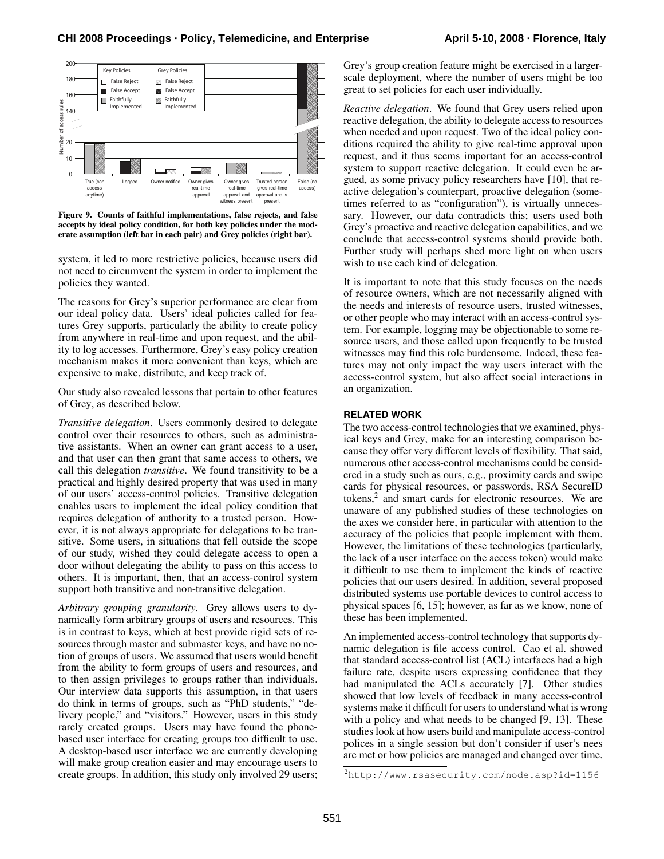

Figure 9. Counts of faithful implementations, false rejects, and false accepts by ideal policy condition, for both key policies under the moderate assumption (left bar in each pair) and Grey policies (right bar).

system, it led to more restrictive policies, because users did not need to circumvent the system in order to implement the policies they wanted.

The reasons for Grey's superior performance are clear from our ideal policy data. Users' ideal policies called for features Grey supports, particularly the ability to create policy from anywhere in real-time and upon request, and the ability to log accesses. Furthermore, Grey's easy policy creation mechanism makes it more convenient than keys, which are expensive to make, distribute, and keep track of.

Our study also revealed lessons that pertain to other features of Grey, as described below.

*Transitive delegation*. Users commonly desired to delegate control over their resources to others, such as administrative assistants. When an owner can grant access to a user, and that user can then grant that same access to others, we call this delegation *transitive*. We found transitivity to be a practical and highly desired property that was used in many of our users' access-control policies. Transitive delegation enables users to implement the ideal policy condition that requires delegation of authority to a trusted person. However, it is not always appropriate for delegations to be transitive. Some users, in situations that fell outside the scope of our study, wished they could delegate access to open a door without delegating the ability to pass on this access to others. It is important, then, that an access-control system support both transitive and non-transitive delegation.

*Arbitrary grouping granularity*. Grey allows users to dynamically form arbitrary groups of users and resources. This is in contrast to keys, which at best provide rigid sets of resources through master and submaster keys, and have no notion of groups of users. We assumed that users would benefit from the ability to form groups of users and resources, and to then assign privileges to groups rather than individuals. Our interview data supports this assumption, in that users do think in terms of groups, such as "PhD students," "delivery people," and "visitors." However, users in this study rarely created groups. Users may have found the phonebased user interface for creating groups too difficult to use. A desktop-based user interface we are currently developing will make group creation easier and may encourage users to create groups. In addition, this study only involved 29 users; Grey's group creation feature might be exercised in a largerscale deployment, where the number of users might be too great to set policies for each user individually.

*Reactive delegation*. We found that Grey users relied upon reactive delegation, the ability to delegate access to resources when needed and upon request. Two of the ideal policy conditions required the ability to give real-time approval upon request, and it thus seems important for an access-control system to support reactive delegation. It could even be argued, as some privacy policy researchers have [10], that reactive delegation's counterpart, proactive delegation (sometimes referred to as "configuration"), is virtually unnecessary. However, our data contradicts this; users used both Grey's proactive and reactive delegation capabilities, and we conclude that access-control systems should provide both. Further study will perhaps shed more light on when users wish to use each kind of delegation.

It is important to note that this study focuses on the needs of resource owners, which are not necessarily aligned with the needs and interests of resource users, trusted witnesses, or other people who may interact with an access-control system. For example, logging may be objectionable to some resource users, and those called upon frequently to be trusted witnesses may find this role burdensome. Indeed, these features may not only impact the way users interact with the access-control system, but also affect social interactions in an organization.

## **RELATED WORK**

The two access-control technologies that we examined, physical keys and Grey, make for an interesting comparison because they offer very different levels of flexibility. That said, numerous other access-control mechanisms could be considered in a study such as ours, e.g., proximity cards and swipe cards for physical resources, or passwords, RSA SecureID tokens,<sup>2</sup> and smart cards for electronic resources. We are unaware of any published studies of these technologies on the axes we consider here, in particular with attention to the accuracy of the policies that people implement with them. However, the limitations of these technologies (particularly, the lack of a user interface on the access token) would make it difficult to use them to implement the kinds of reactive policies that our users desired. In addition, several proposed distributed systems use portable devices to control access to physical spaces [6, 15]; however, as far as we know, none of these has been implemented.

An implemented access-control technology that supports dynamic delegation is file access control. Cao et al. showed that standard access-control list (ACL) interfaces had a high failure rate, despite users expressing confidence that they had manipulated the ACLs accurately [7]. Other studies showed that low levels of feedback in many access-control systems make it difficult for users to understand what is wrong with a policy and what needs to be changed [9, 13]. These studies look at how users build and manipulate access-control polices in a single session but don't consider if user's nees are met or how policies are managed and changed over time.

<sup>2</sup>http://www.rsasecurity.com/node.asp?id=1156